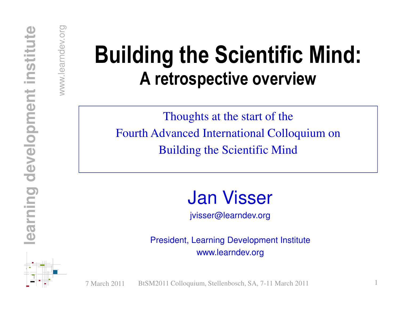### **Example 25 Building the Scientific Mind:**<br>A retrospective overview

Thoughts at the start of theFourth Advanced International Colloquium onBuilding the Scientific Mind

Jan Visser

jvisser@learndev.org

President, Learning Development Institutewww.learndev.org

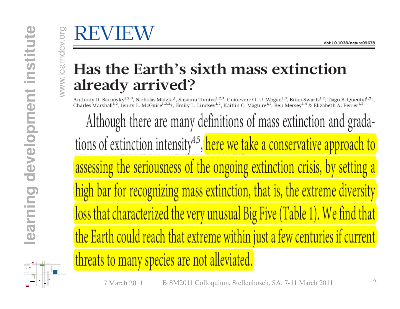**learning development institute**

development

**Common** 

earni

stitute

Ë **College** 

# $\frac{\sum_{\substack{\text{odd} \\ \text{odd} \\ \text{odd} \\ \text{odd}}} \text{Has the Earth's sixth mass extinction}^{\text{odd:10.1038/nature09678}}}{\text{Aready arrival}^{\text{odd}} \cdot \text{Nucleus Matke}^1, \text{Susumu Tomiya}^{1,2,3}, \text{Guinevere O. U. Wogan<sup>1,3</sup>, Brian Swartz<sup>1,2</sup>, Tapo B. Quental<sup>1,2</sup>, Charles Mark<sup>1,2,3</sup>, Nicholas Matke<sup>1</sup>, Susumu Tomiya<sup>1,2,3</sup>, Guinevere O. U. Wogan<sup>1,3</sup>, Brian Swartz$

Although there are many definitions of mass extinction and gradations of extinction intensity<sup>4,5</sup>, here we take a conservative approach to assessing the seriousness of the ongoing extinction crisis, by setting a high bar for recognizing mass extinction, that is, the extreme diversity loss that characterized the very unusual Big Five (Table 1). We find that the Earth could reach that extreme within just a few centuries if current threats to many species are not alleviated.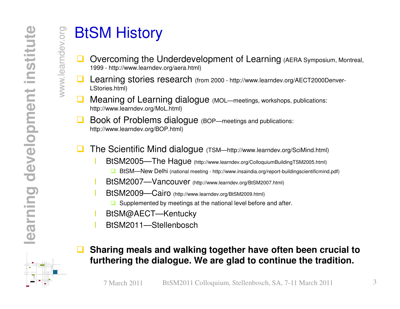- $\frac{1}{\frac{1}{100}}$  **BtSM History**<br>  $\frac{1}{100}$  Overcoming the U<br>  $\frac{1}{100}$  Learning stories re<br>  $\geq$  Learning stories re<br>
Listories.html)  $\Box$  Overcoming the Underdevelopment of Learning (AERA Symposium, Montreal, 1999 - http://www.learndev.org/aera.html)
	- $\Box$  Learning stories research (from 2000 - http://www.learndev.org/AECT2000Denver-LStories.html)
	- $\Box$  Meaning of Learning dialogue (MOL—meetings, workshops, publications: http://www.learndev.org/MoL.html)
	- $\Box$  Book of Problems dialogue (BOP—meetings and publications: http://www.learndev.org/BOP.html)
	- $\Box$  The Scientific Mind dialogue (TSM—http://www.learndev.org/SciMind.html)
		- BtSM2005—The Hague (http://www.learndev.org/ColloquiumBuildingTSM2005.html) ■ BtSM—New Delhi (national meeting - http://www.insaindia.org/report-buildingscientificmind.pdf)
		- BtSM2007—Vancouver (http://www.learndev.org/BtSM2007.html)
		- BtSM2009—Cairo (http://www.learndev.org/BtSM2009.html)
			- **□** Supplemented by meetings at the national level before and after.
		- BtSM@AECT—Kentucky
		- BtSM2011—Stellenbosch

### $\Box$  **Sharing meals and walking together have often been crucial to furthering the dialogue. We are glad to continue the tradition.**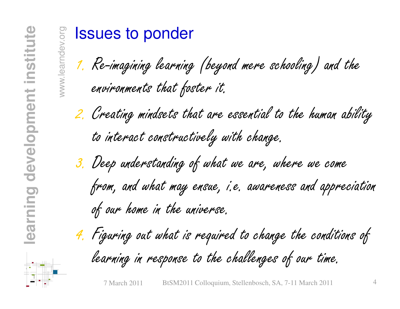**ISSUES to ponder**<br>1. Re-imagining learning (beyond mere schooling) and the<br>environments that foster it.

2. Creating mindsets that are essential to the human ability to interact constructively with change.

3. Deep understanding of what we are, where we come from, and what may ensue, i.e. awareness and appreciation<br>of our home in the universe.

4. Figuring out what is required to change the conditions of learning in response to the challenges of our time.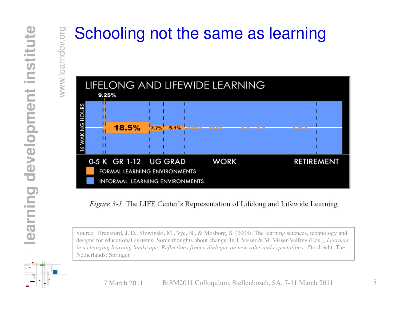

*Figure 3-1.* The LIFE Center's Representation of Lifelong and Lifewide Learning

Source: Bransford, J. D., Slowinski, M., Vye, N., & Mosborg, S. (2008). The learning sciences, technology and designs for educational systems: Some thoughts about change. In J. Visser & M. Visser-Valfrey (Eds.), *Learners in a changing learning landscape: Reflections from a dialogue on new roles and expectations . Dordrecht, The* Netherlands: Springer.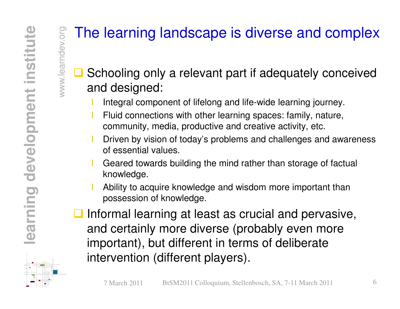### We all the learning landscape is diverse and complex<br>  $\frac{dS}{dt}$ <br>  $\frac{dS}{dt}$  Schooling only a relevant part if adequately conceived<br>
and designed:  $\Box$  Schooling only a relevant part if adequately conceived and designed:

- Integral component of lifelong and life-wide learning journey.
- Fluid connections with other learning spaces: family, nature, community, media, productive and creative activity, etc.
- Driven by vision of today's problems and challenges and awareness of essential values.
- Geared towards building the mind rather than storage of factual knowledge.
- Ability to acquire knowledge and wisdom more important than possession of knowledge.
- Informal learning at least as crucial and pervasive,<br>and cortainly more diverse (probably oven more and certainly more diverse (probably even more important), but different in terms of deliberate intervention (different players).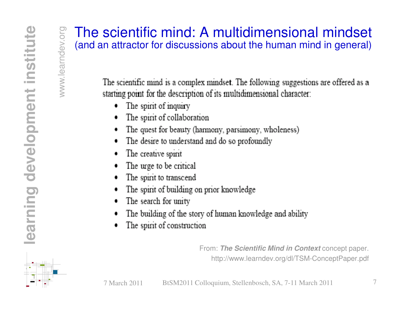## We are scientific mind: A multidimensional mindset<br>  $\frac{S}{S}$  (and an attractor for discussions about the human mind in general)<br>  $\frac{S}{S}$  The scientific mind is a complex mindset. The following suggestions are offered a

- The spirit of inquiry
- The spirit of collaboration ۰
- The quest for beauty (harmony, parsimony, wholeness)
- The desire to understand and do so profoundly ۰
- The creative spirit ۰
- The urge to be critical
- The spirit to transcend
- The spirit of building on prior knowledge
- The search for unity ۰
- The building of the story of human knowledge and ability
- The spirit of construction ۰

From: **The Scientific Mind in Context** concept paper. http://www.learndev.org/dl/TSM-ConceptPaper.pdf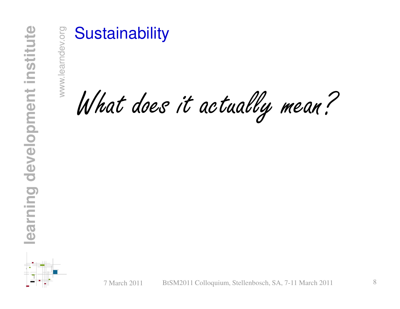Sustainability<br>
What does it actually mean?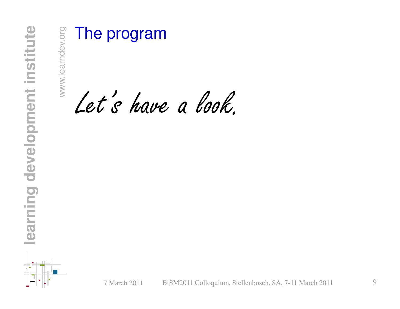We also the program  $\ell$  of  $s$  have a look.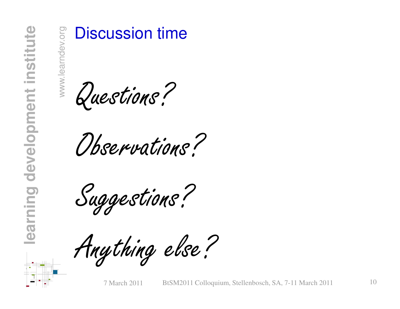Westion time

Observations?

Suggestions?

Anything else?